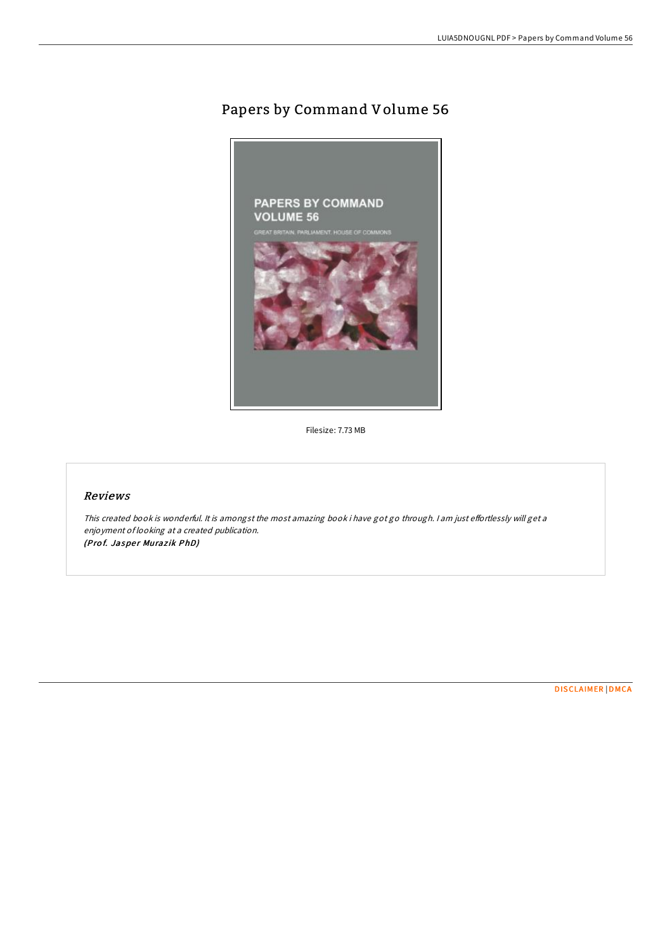## Papers by Command Volume 56



Filesize: 7.73 MB

## Reviews

This created book is wonderful. It is amongst the most amazing book i have got go through. I am just effortlessly will get a enjoyment of looking at <sup>a</sup> created publication. (Prof. Jasper Murazik PhD)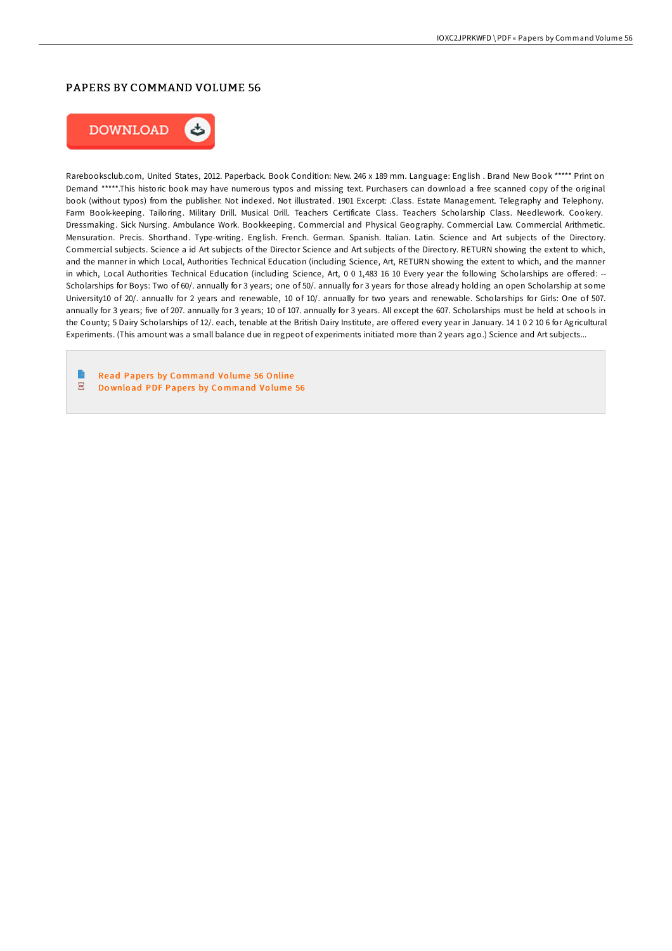## PAPERS BY COMMAND VOLUME 56



Rarebooksclub.com, United States, 2012. Paperback. Book Condition: New. 246 x 189 mm. Language: English . Brand New Book \*\*\*\*\* Print on Demand \*\*\*\*\*.This historic book may have numerous typos and missing text. Purchasers can download a free scanned copy of the original book (without typos) from the publisher. Not indexed. Not illustrated. 1901 Excerpt: .Class. Estate Management. Telegraphy and Telephony. Farm Book-keeping. Tailoring. Military Drill. Musical Drill. Teachers Certificate Class. Teachers Scholarship Class. Needlework. Cookery. Dressmaking. Sick Nursing. Ambulance Work. Bookkeeping. Commercial and Physical Geography. Commercial Law. Commercial Arithmetic. Mensuration. Precis. Shorthand. Type-writing. English. French. German. Spanish. Italian. Latin. Science and Art subjects of the Directory. Commercial subjects. Science a id Art subjects of the Director Science and Art subjects of the Directory. RETURN showing the extent to which, and the manner in which Local, Authorities Technical Education (including Science, Art, RETURN showing the extent to which, and the manner in which, Local Authorities Technical Education (including Science, Art, 0 0 1,483 16 10 Every year the following Scholarships are offered: --Scholarships for Boys: Two of 60/. annually for 3 years; one of 50/. annually for 3 years for those already holding an open Scholarship at some University10 of 20/. annuallv for 2 years and renewable, 10 of 10/. annually for two years and renewable. Scholarships for Girls: One of 507. annually for 3 years; five of 207. annually for 3 years; 10 of 107. annually for 3 years. All except the 607. Scholarships must be held at schools in the County; 5 Dairy Scholarships of 12/. each, tenable at the British Dairy Institute, are offered every year in January. 14 1 0 2 10 6 for Agricultural Experiments. (This amount was a small balance due in regpeot of experiments initiated more than 2 years ago.) Science and Art subjects...

Read Papers by Co[mmand](http://almighty24.tech/papers-by-command-volume-56-paperback.html) Volume 56 Online  $\overline{\phantom{a}}^{\rm ps}$ Download PDF Papers by Co[mmand](http://almighty24.tech/papers-by-command-volume-56-paperback.html) Volume 56